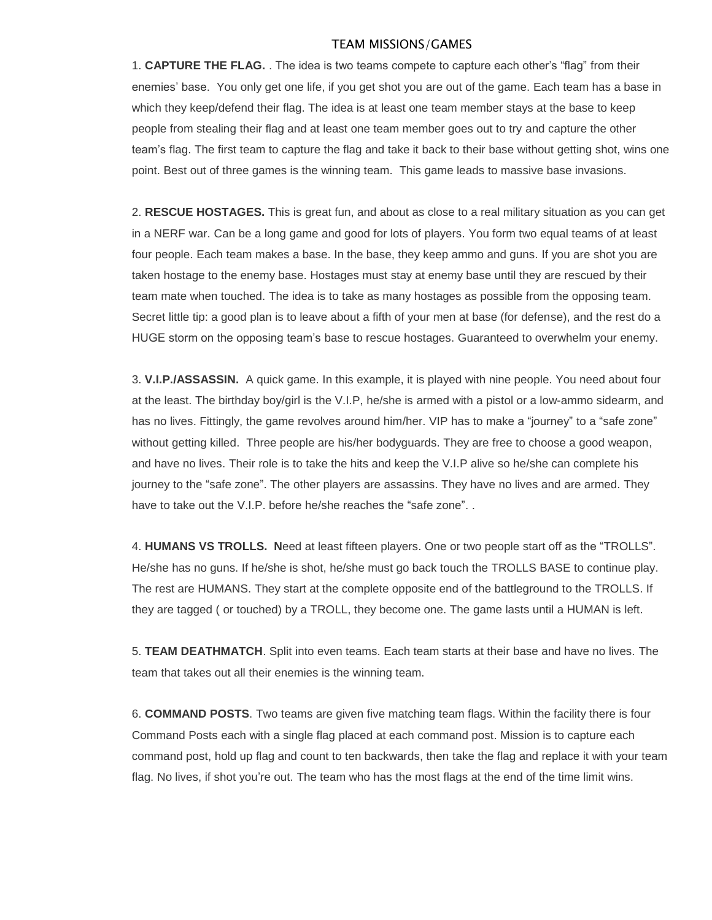## TEAM MISSIONS/GAMES

1. **CAPTURE THE FLAG.** . The idea is two teams compete to capture each other's "flag" from their enemies' base. You only get one life, if you get shot you are out of the game. Each team has a base in which they keep/defend their flag. The idea is at least one team member stays at the base to keep people from stealing their flag and at least one team member goes out to try and capture the other team's flag. The first team to capture the flag and take it back to their base without getting shot, wins one point. Best out of three games is the winning team. This game leads to massive base invasions.

2. **RESCUE HOSTAGES.** This is great fun, and about as close to a real military situation as you can get in a NERF war. Can be a long game and good for lots of players. You form two equal teams of at least four people. Each team makes a base. In the base, they keep ammo and guns. If you are shot you are taken hostage to the enemy base. Hostages must stay at enemy base until they are rescued by their team mate when touched. The idea is to take as many hostages as possible from the opposing team. Secret little tip: a good plan is to leave about a fifth of your men at base (for defense), and the rest do a HUGE storm on the opposing team's base to rescue hostages. Guaranteed to overwhelm your enemy.

3. **V.I.P./ASSASSIN.** A quick game. In this example, it is played with nine people. You need about four at the least. The birthday boy/girl is the V.I.P, he/she is armed with a pistol or a low-ammo sidearm, and has no lives. Fittingly, the game revolves around him/her. VIP has to make a "journey" to a "safe zone" without getting killed. Three people are his/her bodyguards. They are free to choose a good weapon, and have no lives. Their role is to take the hits and keep the V.I.P alive so he/she can complete his journey to the "safe zone". The other players are assassins. They have no lives and are armed. They have to take out the V.I.P. before he/she reaches the "safe zone"...

4. **HUMANS VS TROLLS. N**eed at least fifteen players. One or two people start off as the "TROLLS". He/she has no guns. If he/she is shot, he/she must go back touch the TROLLS BASE to continue play. The rest are HUMANS. They start at the complete opposite end of the battleground to the TROLLS. If they are tagged ( or touched) by a TROLL, they become one. The game lasts until a HUMAN is left.

5. **TEAM DEATHMATCH**. Split into even teams. Each team starts at their base and have no lives. The team that takes out all their enemies is the winning team.

6. **COMMAND POSTS**. Two teams are given five matching team flags. Within the facility there is four Command Posts each with a single flag placed at each command post. Mission is to capture each command post, hold up flag and count to ten backwards, then take the flag and replace it with your team flag. No lives, if shot you're out. The team who has the most flags at the end of the time limit wins.